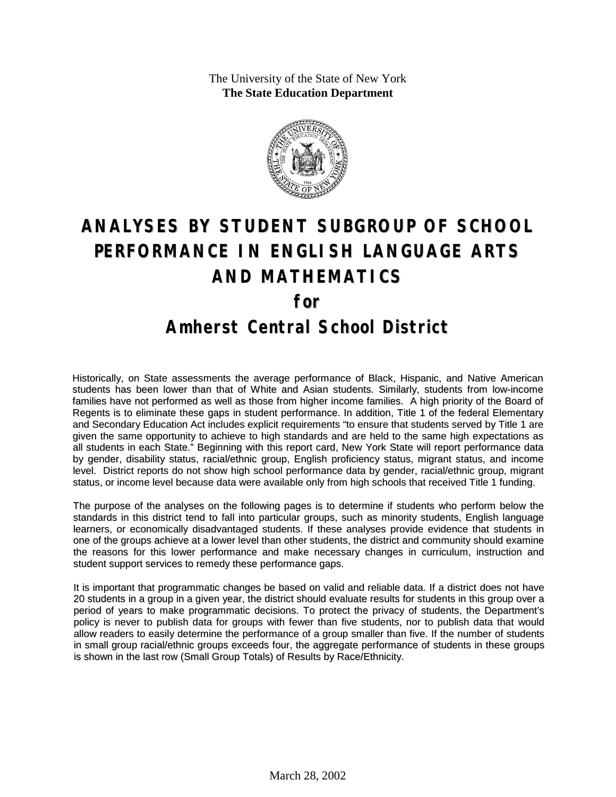The University of the State of New York **The State Education Department**



# **ANALYSES BY STUDENT SUBGROUP OF SCHOOL PERFORMANCE IN ENGLISH LANGUAGE ARTS AND MATHEMATICS for Amherst Central School District**

Historically, on State assessments the average performance of Black, Hispanic, and Native American students has been lower than that of White and Asian students. Similarly, students from low-income families have not performed as well as those from higher income families. A high priority of the Board of Regents is to eliminate these gaps in student performance. In addition, Title 1 of the federal Elementary and Secondary Education Act includes explicit requirements "to ensure that students served by Title 1 are given the same opportunity to achieve to high standards and are held to the same high expectations as all students in each State." Beginning with this report card, New York State will report performance data by gender, disability status, racial/ethnic group, English proficiency status, migrant status, and income level. District reports do not show high school performance data by gender, racial/ethnic group, migrant status, or income level because data were available only from high schools that received Title 1 funding.

The purpose of the analyses on the following pages is to determine if students who perform below the standards in this district tend to fall into particular groups, such as minority students, English language learners, or economically disadvantaged students. If these analyses provide evidence that students in one of the groups achieve at a lower level than other students, the district and community should examine the reasons for this lower performance and make necessary changes in curriculum, instruction and student support services to remedy these performance gaps.

It is important that programmatic changes be based on valid and reliable data. If a district does not have 20 students in a group in a given year, the district should evaluate results for students in this group over a period of years to make programmatic decisions. To protect the privacy of students, the Department's policy is never to publish data for groups with fewer than five students, nor to publish data that would allow readers to easily determine the performance of a group smaller than five. If the number of students in small group racial/ethnic groups exceeds four, the aggregate performance of students in these groups is shown in the last row (Small Group Totals) of Results by Race/Ethnicity.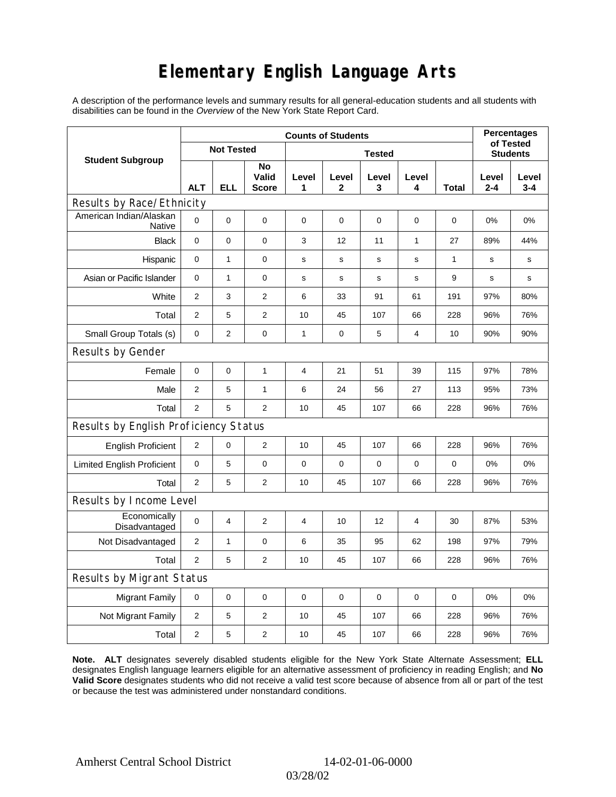# **Elementary English Language Arts**

A description of the performance levels and summary results for all general-education students and all students with disabilities can be found in the *Overview* of the New York State Report Card.

|                                       | <b>Counts of Students</b> |                   |                             |            |              |                  |                |       |                  | <b>Percentages</b><br>of Tested |  |
|---------------------------------------|---------------------------|-------------------|-----------------------------|------------|--------------|------------------|----------------|-------|------------------|---------------------------------|--|
| <b>Student Subgroup</b>               |                           | <b>Not Tested</b> |                             |            |              | <b>Students</b>  |                |       |                  |                                 |  |
|                                       | <b>ALT</b>                | <b>ELL</b>        | No<br>Valid<br><b>Score</b> | Level<br>1 | Level<br>2   | Level<br>3       | Level<br>4     | Total | Level<br>$2 - 4$ | Level<br>$3 - 4$                |  |
| Results by Race/Ethnicity             |                           |                   |                             |            |              |                  |                |       |                  |                                 |  |
| American Indian/Alaskan<br>Native     | $\mathbf 0$               | 0                 | $\pmb{0}$                   | $\pmb{0}$  | 0            | $\mathbf 0$      | 0              | 0     | 0%               | 0%                              |  |
| <b>Black</b>                          | 0                         | 0                 | 0                           | 3          | 12           | 11               | 1              | 27    | 89%              | 44%                             |  |
| Hispanic                              | 0                         | $\mathbf{1}$      | $\pmb{0}$                   | s          | $\mathsf{s}$ | $\mathbf S$      | s              | 1     | $\mathbf s$      | s                               |  |
| Asian or Pacific Islander             | 0                         | 1                 | $\mathbf 0$                 | s          | s            | s                | s              | 9     | s                | s                               |  |
| White                                 | 2                         | 3                 | $\mathbf{2}$                | 6          | 33           | 91               | 61             | 191   | 97%              | 80%                             |  |
| Total                                 | $\mathbf{2}$              | 5                 | $\mathbf{2}$                | 10         | 45           | 107              | 66             | 228   | 96%              | 76%                             |  |
| Small Group Totals (s)                | 0                         | 2                 | 0                           | 1          | 0            | 5                | 4              | 10    | 90%              | 90%                             |  |
| Results by Gender                     |                           |                   |                             |            |              |                  |                |       |                  |                                 |  |
| Female                                | $\mathbf 0$               | $\mathsf 0$       | $\mathbf{1}$                | 4          | 21           | 51               | 39             | 115   | 97%              | 78%                             |  |
| Male                                  | 2                         | 5                 | $\mathbf{1}$                | 6          | 24           | 56               | 27             | 113   | 95%              | 73%                             |  |
| Total                                 | $\mathbf{2}$              | 5                 | $\mathbf{2}$                | 10         | 45           | 107              | 66             | 228   | 96%              | 76%                             |  |
| Results by English Proficiency Status |                           |                   |                             |            |              |                  |                |       |                  |                                 |  |
| <b>English Proficient</b>             | $\overline{c}$            | 0                 | $\boldsymbol{2}$            | 10         | 45           | 107              | 66             | 228   | 96%              | 76%                             |  |
| <b>Limited English Proficient</b>     | $\mathbf 0$               | 5                 | $\pmb{0}$                   | $\pmb{0}$  | 0            | $\boldsymbol{0}$ | 0              | 0     | 0%               | 0%                              |  |
| Total                                 | 2                         | 5                 | $\mathbf{2}$                | 10         | 45           | 107              | 66             | 228   | 96%              | 76%                             |  |
| Results by Income Level               |                           |                   |                             |            |              |                  |                |       |                  |                                 |  |
| Economically<br>Disadvantaged         | $\mathbf 0$               | 4                 | $\overline{c}$              | 4          | 10           | 12               | $\overline{4}$ | 30    | 87%              | 53%                             |  |
| Not Disadvantaged                     | 2                         | $\mathbf{1}$      | $\mathbf 0$                 | 6          | 35           | 95               | 62             | 198   | 97%              | 79%                             |  |
| Total                                 | 2                         | 5                 | $\overline{2}$              | 10         | 45           | 107              | 66             | 228   | 96%              | 76%                             |  |
| Results by Migrant Status             |                           |                   |                             |            |              |                  |                |       |                  |                                 |  |
| <b>Migrant Family</b>                 | 0                         | 0                 | $\mathbf 0$                 | $\pmb{0}$  | 0            | $\mathbf 0$      | 0              | 0     | 0%               | 0%                              |  |
| Not Migrant Family                    | $\overline{2}$            | 5                 | $\overline{2}$              | 10         | 45           | 107              | 66             | 228   | 96%              | 76%                             |  |
| Total                                 | $\overline{c}$            | 5                 | $\boldsymbol{2}$            | 10         | 45           | 107              | 66             | 228   | 96%              | 76%                             |  |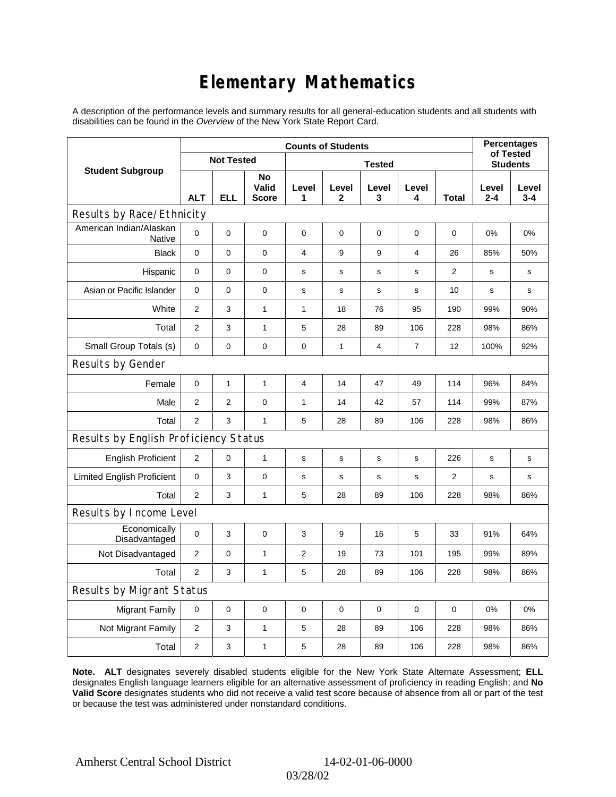# **Elementary Mathematics**

A description of the performance levels and summary results for all general-education students and all students with disabilities can be found in the *Overview* of the New York State Report Card.

|                                       | <b>Counts of Students</b> |                |                             |                |              |             |                |                 |              | <b>Percentages</b><br>of Tested |  |
|---------------------------------------|---------------------------|----------------|-----------------------------|----------------|--------------|-------------|----------------|-----------------|--------------|---------------------------------|--|
| <b>Student Subgroup</b>               | <b>Not Tested</b>         |                | <b>Tested</b>               |                |              |             |                | <b>Students</b> |              |                                 |  |
|                                       | <b>ALT</b>                | <b>ELL</b>     | No<br>Valid<br><b>Score</b> | Level<br>1     | Level<br>2   | Level<br>3  | Level<br>4     | Total           | Level<br>2-4 | Level<br>$3 - 4$                |  |
| Results by Race/Ethnicity             |                           |                |                             |                |              |             |                |                 |              |                                 |  |
| American Indian/Alaskan<br>Native     | 0                         | $\mathbf 0$    | $\mathbf 0$                 | $\mathbf 0$    | $\mathbf 0$  | 0           | $\mathbf 0$    | $\mathbf 0$     | 0%           | 0%                              |  |
| <b>Black</b>                          | 0                         | 0              | $\mathbf 0$                 | $\overline{4}$ | 9            | 9           | $\overline{4}$ | 26              | 85%          | 50%                             |  |
| Hispanic                              | 0                         | 0              | 0                           | s              | s            | s           | s              | $\overline{2}$  | s            | s                               |  |
| Asian or Pacific Islander             | $\mathbf 0$               | 0              | 0                           | $\mathbf S$    | $\mathbf S$  | $\mathbf s$ | $\mathbf s$    | 10              | $\mathbf s$  | s                               |  |
| White                                 | $\overline{2}$            | 3              | $\mathbf{1}$                | 1              | 18           | 76          | 95             | 190             | 99%          | 90%                             |  |
| Total                                 | $\mathbf{2}$              | 3              | $\mathbf{1}$                | 5              | 28           | 89          | 106            | 228             | 98%          | 86%                             |  |
| Small Group Totals (s)                | 0                         | 0              | 0                           | 0              | $\mathbf{1}$ | 4           | 7              | 12              | 100%         | 92%                             |  |
| Results by Gender                     |                           |                |                             |                |              |             |                |                 |              |                                 |  |
| Female                                | 0                         | $\mathbf{1}$   | $\mathbf{1}$                | $\overline{4}$ | 14           | 47          | 49             | 114             | 96%          | 84%                             |  |
| Male                                  | $\overline{2}$            | $\overline{2}$ | $\pmb{0}$                   | $\mathbf{1}$   | 14           | 42          | 57             | 114             | 99%          | 87%                             |  |
| Total                                 | $\overline{2}$            | 3              | $\mathbf{1}$                | 5              | 28           | 89          | 106            | 228             | 98%          | 86%                             |  |
| Results by English Proficiency Status |                           |                |                             |                |              |             |                |                 |              |                                 |  |
| <b>English Proficient</b>             | $\overline{2}$            | 0              | $\mathbf{1}$                | $\mathbf S$    | ${\tt S}$    | ${\tt S}$   | s              | 226             | s            | s                               |  |
| <b>Limited English Proficient</b>     | 0                         | 3              | $\pmb{0}$                   | $\mathbf s$    | $\mathbf s$  | s           | $\mathbf s$    | 2               | s            | s                               |  |
| Total                                 | $\overline{2}$            | 3              | $\mathbf{1}$                | 5              | 28           | 89          | 106            | 228             | 98%          | 86%                             |  |
| Results by Income Level               |                           |                |                             |                |              |             |                |                 |              |                                 |  |
| Economically<br>Disadvantaged         | $\mathbf 0$               | 3              | $\mathbf 0$                 | 3              | 9            | 16          | 5              | 33              | 91%          | 64%                             |  |
| Not Disadvantaged                     | $\overline{2}$            | 0              | $\mathbf{1}$                | $\overline{2}$ | 19           | 73          | 101            | 195             | 99%          | 89%                             |  |
| Total                                 | $\overline{2}$            | 3              | $\mathbf{1}$                | 5              | 28           | 89          | 106            | 228             | 98%          | 86%                             |  |
| Results by Migrant Status             |                           |                |                             |                |              |             |                |                 |              |                                 |  |
| <b>Migrant Family</b>                 | 0                         | 0              | 0                           | 0              | 0            | 0           | $\mathbf 0$    | 0               | 0%           | 0%                              |  |
| Not Migrant Family                    | $\overline{c}$            | 3              | $\mathbf{1}$                | 5              | 28           | 89          | 106            | 228             | 98%          | 86%                             |  |
| Total                                 | $\overline{2}$            | 3              | $\mathbf{1}$                | 5              | 28           | 89          | 106            | 228             | 98%          | 86%                             |  |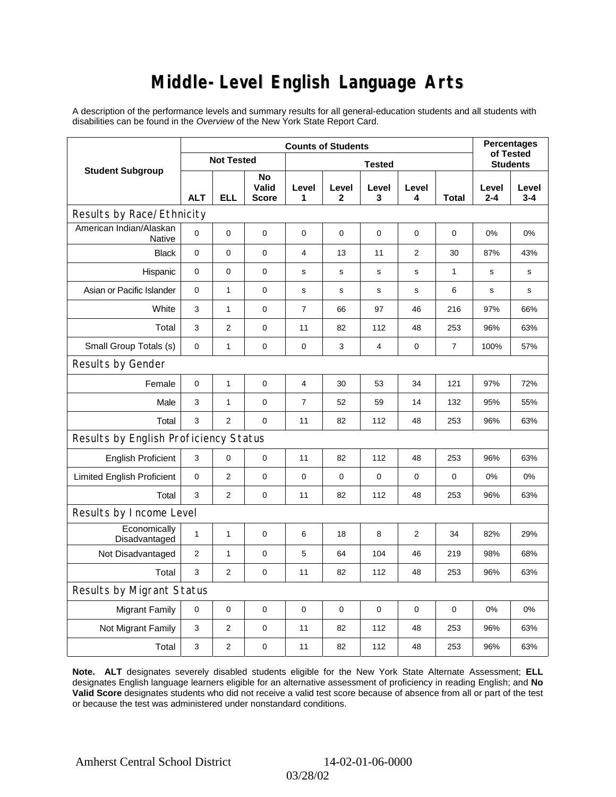### **Middle-Level English Language Arts**

A description of the performance levels and summary results for all general-education students and all students with disabilities can be found in the *Overview* of the New York State Report Card.

|                                       | <b>Counts of Students</b> |                |                             |                |             |             |             |                 | <b>Percentages</b><br>of Tested |                  |
|---------------------------------------|---------------------------|----------------|-----------------------------|----------------|-------------|-------------|-------------|-----------------|---------------------------------|------------------|
| <b>Student Subgroup</b>               | <b>Not Tested</b>         |                | <b>Tested</b>               |                |             |             |             | <b>Students</b> |                                 |                  |
|                                       | <b>ALT</b>                | <b>ELL</b>     | No<br>Valid<br><b>Score</b> | Level<br>1     | Level<br>2  | Level<br>3  | Level<br>4  | Total           | Level<br>2-4                    | Level<br>$3 - 4$ |
| Results by Race/Ethnicity             |                           |                |                             |                |             |             |             |                 |                                 |                  |
| American Indian/Alaskan<br>Native     | 0                         | $\mathbf 0$    | $\mathbf 0$                 | $\mathbf 0$    | $\mathbf 0$ | 0           | $\mathbf 0$ | $\mathbf 0$     | 0%                              | 0%               |
| <b>Black</b>                          | 0                         | 0              | 0                           | $\overline{4}$ | 13          | 11          | 2           | 30              | 87%                             | 43%              |
| Hispanic                              | 0                         | $\mathbf 0$    | 0                           | s              | s           | s           | s           | 1               | s                               | s                |
| Asian or Pacific Islander             | $\mathbf 0$               | $\mathbf{1}$   | 0                           | $\mathbf S$    | $\mathbf S$ | $\mathbf s$ | s           | 6               | $\mathbf s$                     | s                |
| White                                 | 3                         | $\mathbf{1}$   | $\pmb{0}$                   | 7              | 66          | 97          | 46          | 216             | 97%                             | 66%              |
| Total                                 | 3                         | $\overline{2}$ | $\pmb{0}$                   | 11             | 82          | 112         | 48          | 253             | 96%                             | 63%              |
| Small Group Totals (s)                | 0                         | $\mathbf{1}$   | 0                           | 0              | 3           | 4           | 0           | 7               | 100%                            | 57%              |
| Results by Gender                     |                           |                |                             |                |             |             |             |                 |                                 |                  |
| Female                                | 0                         | $\mathbf{1}$   | $\pmb{0}$                   | $\overline{4}$ | 30          | 53          | 34          | 121             | 97%                             | 72%              |
| Male                                  | 3                         | $\mathbf{1}$   | $\pmb{0}$                   | $\overline{7}$ | 52          | 59          | 14          | 132             | 95%                             | 55%              |
| Total                                 | 3                         | $\overline{2}$ | 0                           | 11             | 82          | 112         | 48          | 253             | 96%                             | 63%              |
| Results by English Proficiency Status |                           |                |                             |                |             |             |             |                 |                                 |                  |
| <b>English Proficient</b>             | 3                         | 0              | $\pmb{0}$                   | 11             | 82          | 112         | 48          | 253             | 96%                             | 63%              |
| <b>Limited English Proficient</b>     | 0                         | $\overline{2}$ | $\pmb{0}$                   | 0              | 0           | 0           | 0           | 0               | 0%                              | 0%               |
| Total                                 | 3                         | $\overline{2}$ | $\pmb{0}$                   | 11             | 82          | 112         | 48          | 253             | 96%                             | 63%              |
| Results by Income Level               |                           |                |                             |                |             |             |             |                 |                                 |                  |
| Economically<br>Disadvantaged         | $\mathbf{1}$              | 1              | $\mathbf 0$                 | 6              | 18          | 8           | 2           | 34              | 82%                             | 29%              |
| Not Disadvantaged                     | $\overline{2}$            | 1              | 0                           | 5              | 64          | 104         | 46          | 219             | 98%                             | 68%              |
| Total                                 | 3                         | $\mathbf{2}$   | $\pmb{0}$                   | 11             | 82          | 112         | 48          | 253             | 96%                             | 63%              |
| Results by Migrant Status             |                           |                |                             |                |             |             |             |                 |                                 |                  |
| <b>Migrant Family</b>                 | 0                         | $\mathbf 0$    | 0                           | $\mathbf 0$    | 0           | 0           | 0           | 0               | 0%                              | 0%               |
| Not Migrant Family                    | 3                         | 2              | 0                           | 11             | 82          | 112         | 48          | 253             | 96%                             | 63%              |
| Total                                 | 3                         | $\overline{2}$ | 0                           | 11             | 82          | 112         | 48          | 253             | 96%                             | 63%              |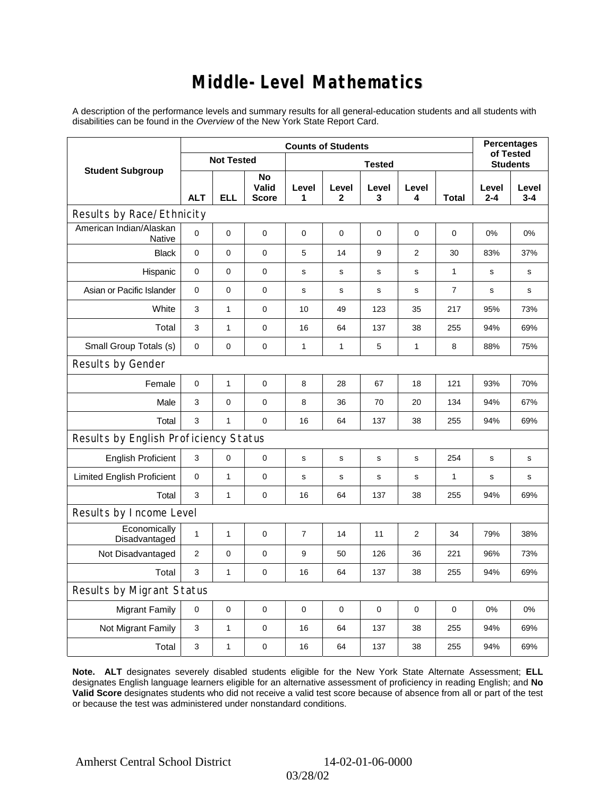### **Middle-Level Mathematics**

A description of the performance levels and summary results for all general-education students and all students with disabilities can be found in the *Overview* of the New York State Report Card.

|                                       | <b>Counts of Students</b> |                   |                             |                |                       |                 |                |                |                  | <b>Percentages</b><br>of Tested |  |
|---------------------------------------|---------------------------|-------------------|-----------------------------|----------------|-----------------------|-----------------|----------------|----------------|------------------|---------------------------------|--|
| <b>Student Subgroup</b>               |                           | <b>Not Tested</b> |                             |                |                       | <b>Students</b> |                |                |                  |                                 |  |
|                                       | <b>ALT</b>                | <b>ELL</b>        | No<br>Valid<br><b>Score</b> | Level<br>1     | Level<br>$\mathbf{2}$ | Level<br>3      | Level<br>4     | <b>Total</b>   | Level<br>$2 - 4$ | Level<br>$3 - 4$                |  |
| Results by Race/Ethnicity             |                           |                   |                             |                |                       |                 |                |                |                  |                                 |  |
| American Indian/Alaskan<br>Native     | $\mathbf 0$               | 0                 | $\mathbf 0$                 | $\mathbf 0$    | $\mathbf 0$           | 0               | 0              | 0              | $0\%$            | 0%                              |  |
| <b>Black</b>                          | $\mathbf 0$               | 0                 | $\mathbf 0$                 | 5              | 14                    | 9               | $\overline{2}$ | 30             | 83%              | 37%                             |  |
| Hispanic                              | 0                         | 0                 | 0                           | s              | s                     | s               | s              | 1              | $\mathbf s$      | s                               |  |
| Asian or Pacific Islander             | 0                         | 0                 | $\pmb{0}$                   | s              | s                     | s               | s              | $\overline{7}$ | s                | s                               |  |
| White                                 | 3                         | $\mathbf{1}$      | $\mathbf 0$                 | 10             | 49                    | 123             | 35             | 217            | 95%              | 73%                             |  |
| Total                                 | 3                         | 1                 | 0                           | 16             | 64                    | 137             | 38             | 255            | 94%              | 69%                             |  |
| Small Group Totals (s)                | $\mathbf 0$               | 0                 | $\pmb{0}$                   | $\mathbf{1}$   | $\mathbf{1}$          | 5               | $\mathbf{1}$   | 8              | 88%              | 75%                             |  |
| Results by Gender                     |                           |                   |                             |                |                       |                 |                |                |                  |                                 |  |
| Female                                | $\mathbf 0$               | 1                 | $\mathbf 0$                 | 8              | 28                    | 67              | 18             | 121            | 93%              | 70%                             |  |
| Male                                  | 3                         | 0                 | 0                           | 8              | 36                    | 70              | 20             | 134            | 94%              | 67%                             |  |
| Total                                 | 3                         | $\mathbf{1}$      | $\Omega$                    | 16             | 64                    | 137             | 38             | 255            | 94%              | 69%                             |  |
| Results by English Proficiency Status |                           |                   |                             |                |                       |                 |                |                |                  |                                 |  |
| <b>English Proficient</b>             | 3                         | 0                 | $\pmb{0}$                   | s              | $\mathbf S$           | $\mathbf S$     | s              | 254            | s                | s                               |  |
| <b>Limited English Proficient</b>     | 0                         | $\mathbf{1}$      | $\mathbf 0$                 | s              | s                     | $\mathbf s$     | $\mathbf s$    | $\mathbf{1}$   | $\mathbf s$      | s                               |  |
| Total                                 | 3                         | $\mathbf{1}$      | $\pmb{0}$                   | 16             | 64                    | 137             | 38             | 255            | 94%              | 69%                             |  |
| Results by Income Level               |                           |                   |                             |                |                       |                 |                |                |                  |                                 |  |
| Economically<br>Disadvantaged         | $\mathbf{1}$              | 1                 | $\mathbf 0$                 | $\overline{7}$ | 14                    | 11              | 2              | 34             | 79%              | 38%                             |  |
| Not Disadvantaged                     | $\mathbf{2}$              | 0                 | $\mathbf 0$                 | 9              | 50                    | 126             | 36             | 221            | 96%              | 73%                             |  |
| Total                                 | 3                         | $\mathbf{1}$      | $\mathbf 0$                 | 16             | 64                    | 137             | 38             | 255            | 94%              | 69%                             |  |
| <b>Results by Migrant Status</b>      |                           |                   |                             |                |                       |                 |                |                |                  |                                 |  |
| <b>Migrant Family</b>                 | $\mathbf 0$               | 0                 | $\mathbf 0$                 | $\mathbf 0$    | 0                     | $\mathbf 0$     | $\mathbf 0$    | $\mathbf 0$    | 0%               | 0%                              |  |
| Not Migrant Family                    | 3                         | $\mathbf{1}$      | 0                           | 16             | 64                    | 137             | 38             | 255            | 94%              | 69%                             |  |
| Total                                 | 3                         | 1                 | 0                           | 16             | 64                    | 137             | 38             | 255            | 94%              | 69%                             |  |